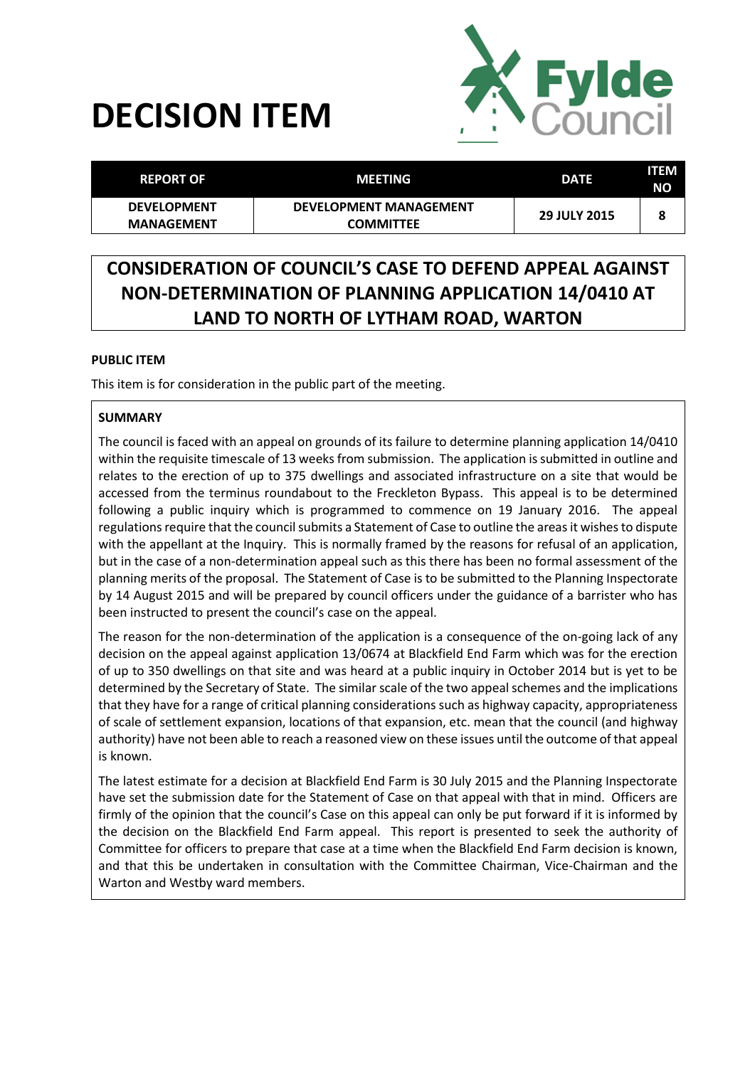# **DECISION ITEM**



| <b>REPORT OF</b>                        | <b>MEETING</b>                                    | <b>DATE</b>         | <b>ITEM</b><br><b>NO</b> |
|-----------------------------------------|---------------------------------------------------|---------------------|--------------------------|
| <b>DEVELOPMENT</b><br><b>MANAGEMENT</b> | <b>DEVELOPMENT MANAGEMENT</b><br><b>COMMITTEE</b> | <b>29 JULY 2015</b> | o                        |

## **CONSIDERATION OF COUNCIL'S CASE TO DEFEND APPEAL AGAINST NON-DETERMINATION OF PLANNING APPLICATION 14/0410 AT LAND TO NORTH OF LYTHAM ROAD, WARTON**

### **PUBLIC ITEM**

This item is for consideration in the public part of the meeting.

#### **SUMMARY**

The council is faced with an appeal on grounds of its failure to determine planning application 14/0410 within the requisite timescale of 13 weeks from submission. The application is submitted in outline and relates to the erection of up to 375 dwellings and associated infrastructure on a site that would be accessed from the terminus roundabout to the Freckleton Bypass. This appeal is to be determined following a public inquiry which is programmed to commence on 19 January 2016. The appeal regulations require that the council submits a Statement of Case to outline the areas it wishes to dispute with the appellant at the Inquiry. This is normally framed by the reasons for refusal of an application, but in the case of a non-determination appeal such as this there has been no formal assessment of the planning merits of the proposal. The Statement of Case is to be submitted to the Planning Inspectorate by 14 August 2015 and will be prepared by council officers under the guidance of a barrister who has been instructed to present the council's case on the appeal.

The reason for the non-determination of the application is a consequence of the on-going lack of any decision on the appeal against application 13/0674 at Blackfield End Farm which was for the erection of up to 350 dwellings on that site and was heard at a public inquiry in October 2014 but is yet to be determined by the Secretary of State. The similar scale of the two appeal schemes and the implications that they have for a range of critical planning considerations such as highway capacity, appropriateness of scale of settlement expansion, locations of that expansion, etc. mean that the council (and highway authority) have not been able to reach a reasoned view on these issues until the outcome of that appeal is known.

The latest estimate for a decision at Blackfield End Farm is 30 July 2015 and the Planning Inspectorate have set the submission date for the Statement of Case on that appeal with that in mind. Officers are firmly of the opinion that the council's Case on this appeal can only be put forward if it is informed by the decision on the Blackfield End Farm appeal. This report is presented to seek the authority of Committee for officers to prepare that case at a time when the Blackfield End Farm decision is known, and that this be undertaken in consultation with the Committee Chairman, Vice-Chairman and the Warton and Westby ward members.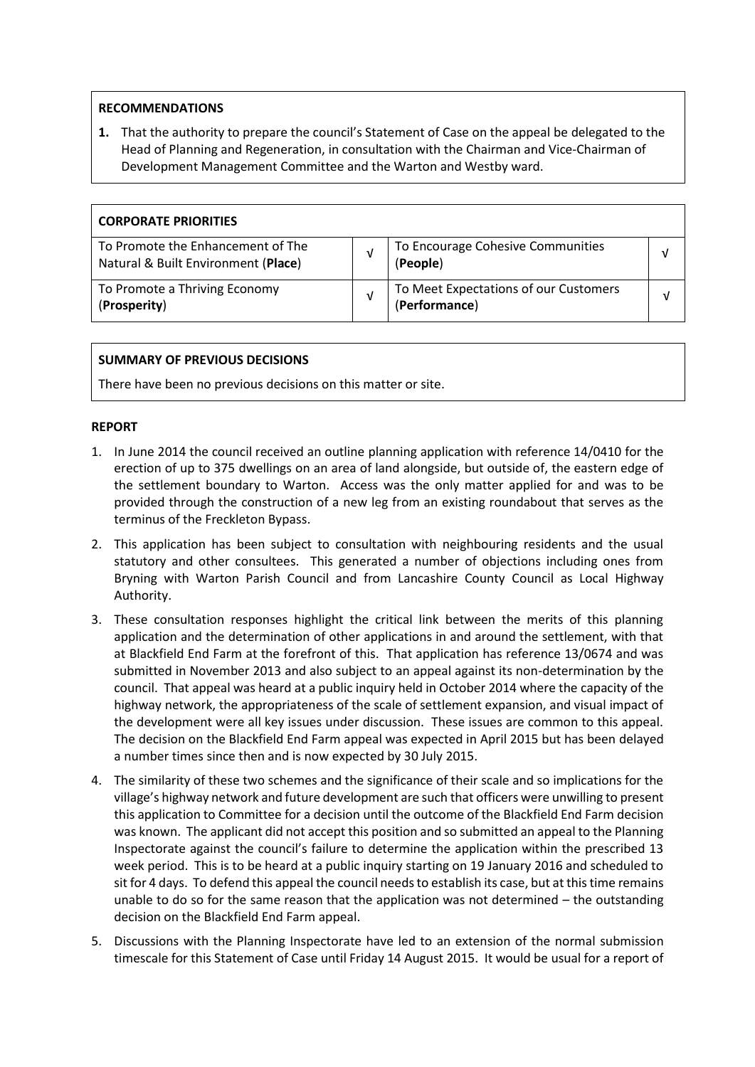#### **RECOMMENDATIONS**

**1.** That the authority to prepare the council's Statement of Case on the appeal be delegated to the Head of Planning and Regeneration, in consultation with the Chairman and Vice-Chairman of Development Management Committee and the Warton and Westby ward.

| <b>CORPORATE PRIORITIES</b>                                              |   |                                                        |   |
|--------------------------------------------------------------------------|---|--------------------------------------------------------|---|
| To Promote the Enhancement of The<br>Natural & Built Environment (Place) |   | To Encourage Cohesive Communities<br>(People)          | v |
| To Promote a Thriving Economy<br>(Prosperity)                            | v | To Meet Expectations of our Customers<br>(Performance) |   |

#### **SUMMARY OF PREVIOUS DECISIONS**

There have been no previous decisions on this matter or site.

#### **REPORT**

- 1. In June 2014 the council received an outline planning application with reference 14/0410 for the erection of up to 375 dwellings on an area of land alongside, but outside of, the eastern edge of the settlement boundary to Warton. Access was the only matter applied for and was to be provided through the construction of a new leg from an existing roundabout that serves as the terminus of the Freckleton Bypass.
- 2. This application has been subject to consultation with neighbouring residents and the usual statutory and other consultees. This generated a number of objections including ones from Bryning with Warton Parish Council and from Lancashire County Council as Local Highway Authority.
- 3. These consultation responses highlight the critical link between the merits of this planning application and the determination of other applications in and around the settlement, with that at Blackfield End Farm at the forefront of this. That application has reference 13/0674 and was submitted in November 2013 and also subject to an appeal against its non-determination by the council. That appeal was heard at a public inquiry held in October 2014 where the capacity of the highway network, the appropriateness of the scale of settlement expansion, and visual impact of the development were all key issues under discussion. These issues are common to this appeal. The decision on the Blackfield End Farm appeal was expected in April 2015 but has been delayed a number times since then and is now expected by 30 July 2015.
- 4. The similarity of these two schemes and the significance of their scale and so implications for the village's highway network and future development are such that officers were unwilling to present this application to Committee for a decision until the outcome of the Blackfield End Farm decision was known. The applicant did not accept this position and so submitted an appeal to the Planning Inspectorate against the council's failure to determine the application within the prescribed 13 week period. This is to be heard at a public inquiry starting on 19 January 2016 and scheduled to sit for 4 days. To defend this appeal the council needs to establish its case, but at this time remains unable to do so for the same reason that the application was not determined – the outstanding decision on the Blackfield End Farm appeal.
- 5. Discussions with the Planning Inspectorate have led to an extension of the normal submission timescale for this Statement of Case until Friday 14 August 2015. It would be usual for a report of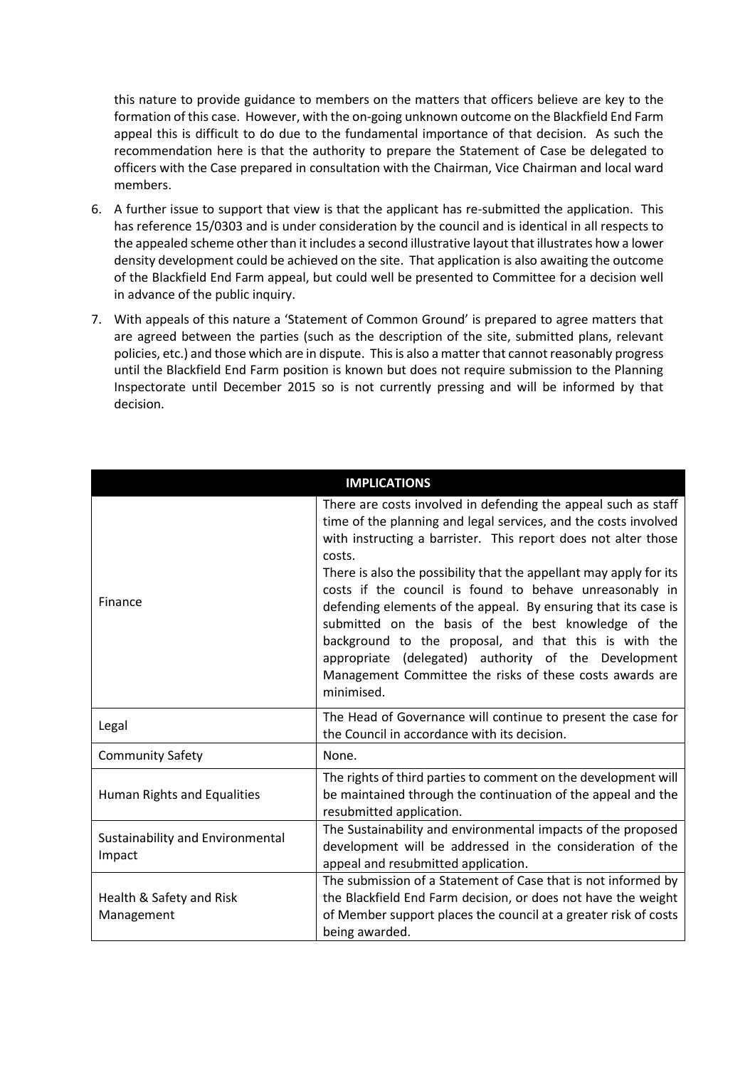this nature to provide guidance to members on the matters that officers believe are key to the formation of this case. However, with the on-going unknown outcome on the Blackfield End Farm appeal this is difficult to do due to the fundamental importance of that decision. As such the recommendation here is that the authority to prepare the Statement of Case be delegated to officers with the Case prepared in consultation with the Chairman, Vice Chairman and local ward members.

- 6. A further issue to support that view is that the applicant has re-submitted the application. This has reference 15/0303 and is under consideration by the council and is identical in all respects to the appealed scheme other than it includes a second illustrative layout that illustrates how a lower density development could be achieved on the site. That application is also awaiting the outcome of the Blackfield End Farm appeal, but could well be presented to Committee for a decision well in advance of the public inquiry.
- 7. With appeals of this nature a 'Statement of Common Ground' is prepared to agree matters that are agreed between the parties (such as the description of the site, submitted plans, relevant policies, etc.) and those which are in dispute. This is also a matter that cannot reasonably progress until the Blackfield End Farm position is known but does not require submission to the Planning Inspectorate until December 2015 so is not currently pressing and will be informed by that decision.

|                                            | <b>IMPLICATIONS</b>                                                                                                                                                                                                                                                                                                                                                                                                                                                                                                                                                                                                                                                |  |
|--------------------------------------------|--------------------------------------------------------------------------------------------------------------------------------------------------------------------------------------------------------------------------------------------------------------------------------------------------------------------------------------------------------------------------------------------------------------------------------------------------------------------------------------------------------------------------------------------------------------------------------------------------------------------------------------------------------------------|--|
| Finance                                    | There are costs involved in defending the appeal such as staff<br>time of the planning and legal services, and the costs involved<br>with instructing a barrister. This report does not alter those<br>costs.<br>There is also the possibility that the appellant may apply for its<br>costs if the council is found to behave unreasonably in<br>defending elements of the appeal. By ensuring that its case is<br>submitted on the basis of the best knowledge of the<br>background to the proposal, and that this is with the<br>appropriate (delegated) authority of the Development<br>Management Committee the risks of these costs awards are<br>minimised. |  |
| Legal                                      | The Head of Governance will continue to present the case for<br>the Council in accordance with its decision.                                                                                                                                                                                                                                                                                                                                                                                                                                                                                                                                                       |  |
| <b>Community Safety</b>                    | None.                                                                                                                                                                                                                                                                                                                                                                                                                                                                                                                                                                                                                                                              |  |
| Human Rights and Equalities                | The rights of third parties to comment on the development will<br>be maintained through the continuation of the appeal and the<br>resubmitted application.                                                                                                                                                                                                                                                                                                                                                                                                                                                                                                         |  |
| Sustainability and Environmental<br>Impact | The Sustainability and environmental impacts of the proposed<br>development will be addressed in the consideration of the<br>appeal and resubmitted application.                                                                                                                                                                                                                                                                                                                                                                                                                                                                                                   |  |
| Health & Safety and Risk<br>Management     | The submission of a Statement of Case that is not informed by<br>the Blackfield End Farm decision, or does not have the weight<br>of Member support places the council at a greater risk of costs<br>being awarded.                                                                                                                                                                                                                                                                                                                                                                                                                                                |  |